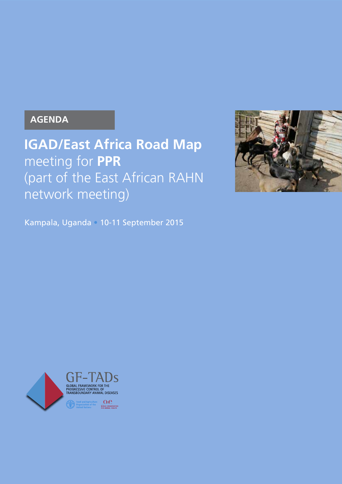### **AGENDA**

**IGAD/East Africa Road Map**  meeting for **PPR** (part of the East African RAHN network meeting)

Kampala, Uganda • 10-11 September 2015



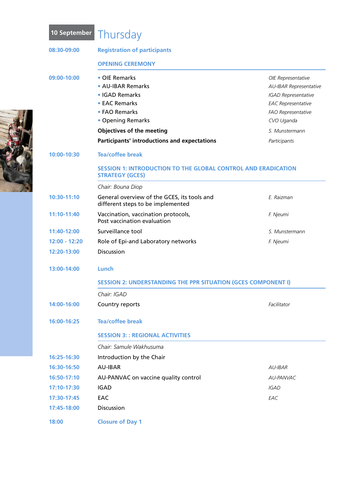| 08:30-09:00   | <b>Registration of participants</b>                                                            |                               |  |
|---------------|------------------------------------------------------------------------------------------------|-------------------------------|--|
|               | <b>OPENING CEREMONY</b>                                                                        |                               |  |
| 09:00-10:00   | • OIE Remarks                                                                                  | OIE Representative            |  |
|               | • AU-IBAR Remarks                                                                              | <b>AU-IBAR Representative</b> |  |
|               | • IGAD Remarks                                                                                 | <b>IGAD Representative</b>    |  |
|               | • EAC Remarks                                                                                  | <b>EAC Representative</b>     |  |
|               | • FAO Remarks                                                                                  | FAO Representative            |  |
|               | • Opening Remarks                                                                              | CVO Uganda                    |  |
|               | <b>Objectives of the meeting</b>                                                               | S. Munstermann                |  |
|               | <b>Participants' introductions and expectations</b>                                            | Participants                  |  |
| 10:00-10:30   | <b>Tea/coffee break</b>                                                                        |                               |  |
|               | <b>SESSION 1: INTRODUCTION TO THE GLOBAL CONTROL AND ERADICATION</b><br><b>STRATEGY (GCES)</b> |                               |  |
|               | Chair: Bouna Diop                                                                              |                               |  |
| 10:30-11:10   | General overview of the GCES, its tools and<br>different steps to be implemented               | E. Raizman                    |  |
| 11:10-11:40   | Vaccination, vaccination protocols,<br>Post vaccination evaluation                             | F. Njeumi                     |  |
| 11:40-12:00   | Surveillance tool                                                                              | S. Munstermann                |  |
| 12:00 - 12:20 | Role of Epi-and Laboratory networks                                                            | F. Njeumi                     |  |
| 12:20-13:00   | <b>Discussion</b>                                                                              |                               |  |
| 13:00-14:00   | Lunch                                                                                          |                               |  |
|               | <b>SESSION 2: UNDERSTANDING THE PPR SITUATION (GCES COMPONENT I)</b>                           |                               |  |
|               | Chair: IGAD                                                                                    |                               |  |
| 14:00-16:00   | Country reports                                                                                | Facilitator                   |  |
| 16:00-16:25   | <b>Tea/coffee break</b>                                                                        |                               |  |
|               | <b>SESSION 3:: REGIONAL ACTIVITIES</b>                                                         |                               |  |
|               | Chair: Samule Wakhusuma                                                                        |                               |  |
| 16:25-16:30   | Introduction by the Chair                                                                      |                               |  |
| 16:30-16:50   | <b>AU-IBAR</b>                                                                                 | AU-IBAR                       |  |
| 16:50-17:10   | AU-PANVAC on vaccine quality control                                                           | AU-PANVAC                     |  |
| 17:10-17:30   | <b>IGAD</b>                                                                                    | <b>IGAD</b>                   |  |
| 17:30-17:45   | EAC                                                                                            | EAC                           |  |
| 17:45-18:00   | Discussion                                                                                     |                               |  |
| 18:00         | <b>Closure of Day 1</b>                                                                        |                               |  |
|               |                                                                                                |                               |  |

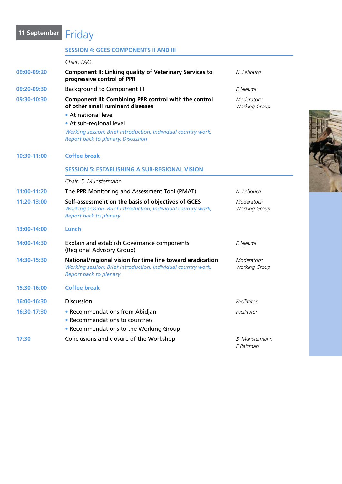## 11 September **Friday**

|             | <b>SESSION 4: GCES COMPONENTS II AND III</b>                                                                                                                |                                     |  |
|-------------|-------------------------------------------------------------------------------------------------------------------------------------------------------------|-------------------------------------|--|
|             | Chair: FAO                                                                                                                                                  |                                     |  |
| 09:00-09:20 | <b>Component II: Linking quality of Veterinary Services to</b><br>progressive control of PPR                                                                | N. Leboucq                          |  |
| 09:20-09:30 | <b>Background to Component III</b>                                                                                                                          | F. Njeumi                           |  |
| 09:30-10:30 | Component III: Combining PPR control with the control<br>of other small ruminant diseases                                                                   | Moderators:<br><b>Working Group</b> |  |
|             | • At national level                                                                                                                                         |                                     |  |
|             | • At sub-regional level                                                                                                                                     |                                     |  |
|             | Working session: Brief introduction, Individual country work,<br><b>Report back to plenary, Discussion</b>                                                  |                                     |  |
| 10:30-11:00 | <b>Coffee break</b>                                                                                                                                         |                                     |  |
|             | <b>SESSION 5: ESTABLISHING A SUB-REGIONAL VISION</b>                                                                                                        |                                     |  |
|             | Chair: S. Munstermann                                                                                                                                       |                                     |  |
| 11:00-11:20 | The PPR Monitoring and Assessment Tool (PMAT)                                                                                                               | N. Leboucq                          |  |
| 11:20-13:00 | Self-assessment on the basis of objectives of GCES<br>Working session: Brief introduction, Individual country work,<br><b>Report back to plenary</b>        | Moderators:<br><b>Working Group</b> |  |
| 13:00-14:00 | Lunch                                                                                                                                                       |                                     |  |
| 14:00-14:30 | Explain and establish Governance components<br>(Regional Advisory Group)                                                                                    | F. Njeumi                           |  |
| 14:30-15:30 | National/regional vision for time line toward eradication<br>Working session: Brief introduction, Individual country work,<br><b>Report back to plenary</b> | Moderators:<br><b>Working Group</b> |  |
| 15:30-16:00 | <b>Coffee break</b>                                                                                                                                         |                                     |  |
| 16:00-16:30 | <b>Discussion</b>                                                                                                                                           | Facilitator                         |  |
| 16:30-17:30 | • Recommendations from Abidjan<br>• Recommendations to countries<br>• Recommendations to the Working Group                                                  | Facilitator                         |  |
| 17:30       | Conclusions and closure of the Workshop                                                                                                                     | S. Munstermann<br>E.Raizman         |  |